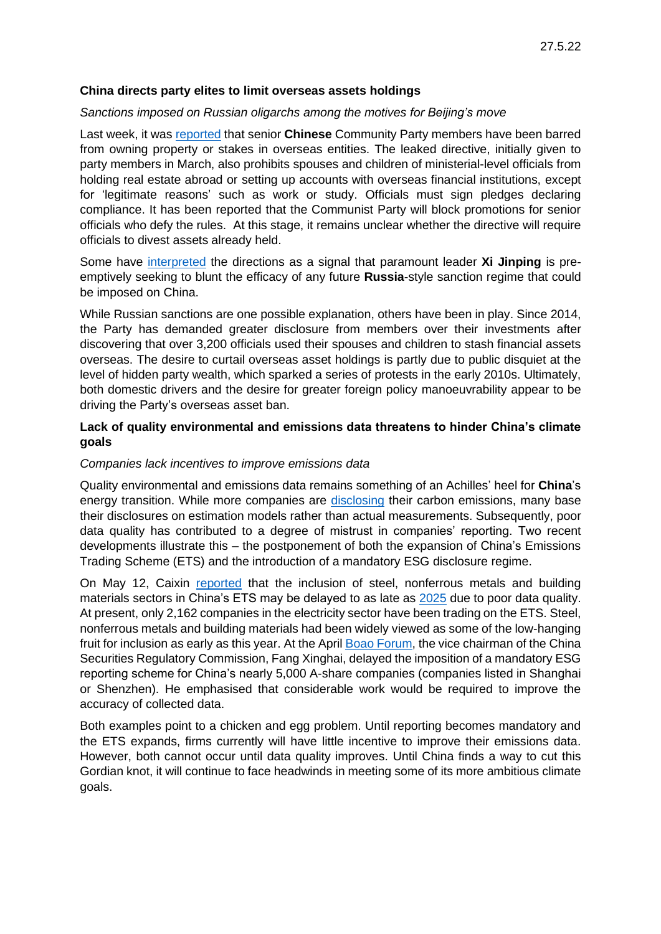## **China directs party elites to limit overseas assets holdings**

#### *Sanctions imposed on Russian oligarchs among the motives for Beijing's move*

Last week, it was [reported](https://www.wsj.com/articles/china-insists-party-elites-shed-overseas-assets-eyeing-western-sanctions-on-russia-11652956787) that senior **Chinese** Community Party members have been barred from owning property or stakes in overseas entities. The leaked directive, initially given to party members in March, also prohibits spouses and children of ministerial-level officials from holding real estate abroad or setting up accounts with overseas financial institutions, except for 'legitimate reasons' such as work or study. Officials must sign pledges declaring compliance. It has been reported that the Communist Party will block promotions for senior officials who defy the rules. At this stage, it remains unclear whether the directive will require officials to divest assets already held.

Some have [interpreted](https://www.wsj.com/articles/china-insists-party-elites-shed-overseas-assets-eyeing-western-sanctions-on-russia-11652956787) the directions as a signal that paramount leader **Xi Jinping** is preemptively seeking to blunt the efficacy of any future **Russia**-style sanction regime that could be imposed on China.

While Russian sanctions are one possible explanation, others have been in play. Since 2014, the Party has demanded greater disclosure from members over their investments after discovering that over 3,200 officials used their spouses and children to stash financial assets overseas. The desire to curtail overseas asset holdings is partly due to public disquiet at the level of hidden party wealth, which sparked a series of protests in the early 2010s. Ultimately, both domestic drivers and the desire for greater foreign policy manoeuvrability appear to be driving the Party's overseas asset ban.

# **Lack of quality environmental and emissions data threatens to hinder China's climate goals**

### *Companies lack incentives to improve emissions data*

Quality environmental and emissions data remains something of an Achilles' heel for **China**'s energy transition. While more companies are [disclosing](https://www.scmp.com/business/article/3178517/climate-change-more-chinese-and-asian-firms-disclose-greenhouse-gas) their carbon emissions, many base their disclosures on estimation models rather than actual measurements. Subsequently, poor data quality has contributed to a degree of mistrust in companies' reporting. Two recent developments illustrate this – the postponement of both the expansion of China's Emissions Trading Scheme (ETS) and the introduction of a mandatory ESG disclosure regime.

On May 12, Caixin [reported](https://chinadialogue.net/en/digest/national-carbon-market-expansion-may-be-delayed-to-2023/) that the inclusion of steel, nonferrous metals and building materials sectors in China's ETS may be delayed to as late as [2025](https://chinadialogue.net/en/digest/national-carbon-market-expansion-may-be-delayed-to-2023/) due to poor data quality. At present, only 2,162 companies in the electricity sector have been trading on the ETS. Steel, nonferrous metals and building materials had been widely viewed as some of the low-hanging fruit for inclusion as early as this year. At the April [Boao Forum,](http://www.china.org.cn/business/2022-04/24/content_78183789.htm) the vice chairman of the China Securities Regulatory Commission, Fang Xinghai, delayed the imposition of a mandatory ESG reporting scheme for China's nearly 5,000 A-share companies (companies listed in Shanghai or Shenzhen). He emphasised that considerable work would be required to improve the accuracy of collected data.

Both examples point to a chicken and egg problem. Until reporting becomes mandatory and the ETS expands, firms currently will have little incentive to improve their emissions data. However, both cannot occur until data quality improves. Until China finds a way to cut this Gordian knot, it will continue to face headwinds in meeting some of its more ambitious climate goals.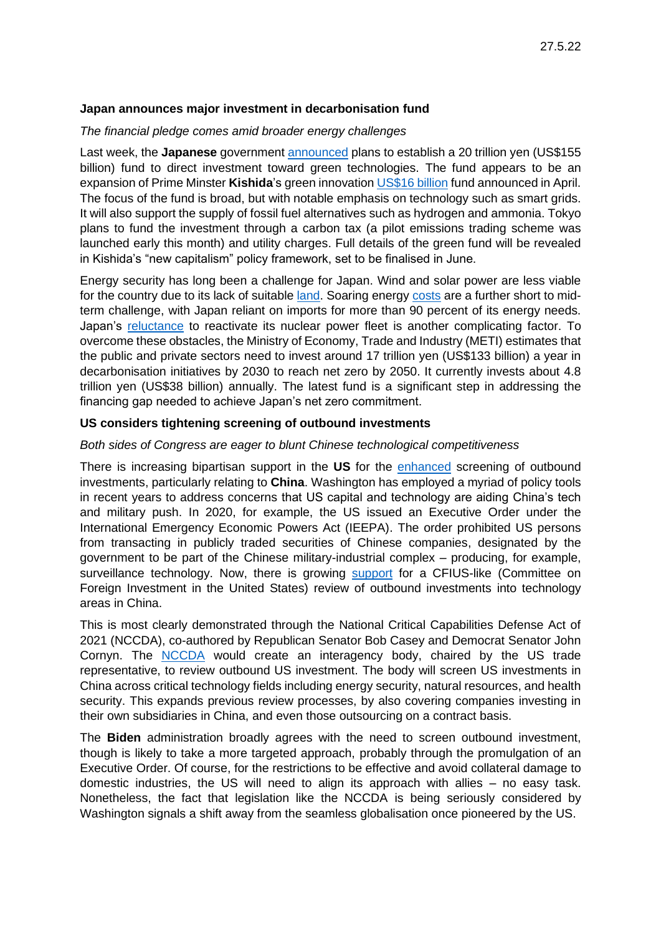## **Japan announces major investment in decarbonisation fund**

#### *The financial pledge comes amid broader energy challenges*

Last week, the **Japanese** government [announced](file://///Climate-Change/Japan-plans-155bn-decarbonization-fund-for-grid-factory-investments%253ffbclid=IwAR2zHUZe1ocgZ6U8Bk9V7AFEHmKkEUhB8Xxc9MlUyUHJa2RaC6FCsYw6CxE) plans to establish a 20 trillion yen (US\$155 billion) fund to direct investment toward green technologies. The fund appears to be an expansion of Prime Minster **Kishida**'s green innovation [US\\$16 billion](https://www.bakermckenzie.com/en/insight/publications/2022/04/green-innovation-fund) fund announced in April. The focus of the fund is broad, but with notable emphasis on technology such as smart grids. It will also support the supply of fossil fuel alternatives such as hydrogen and ammonia. Tokyo plans to fund the investment through a carbon tax (a pilot emissions trading scheme was launched early this month) and utility charges. Full details of the green fund will be revealed in Kishida's "new capitalism" policy framework, set to be finalised in June.

Energy security has long been a challenge for Japan. Wind and solar power are less viable for the country due to its lack of suitable [land.](https://asia.nikkei.com/Opinion/Japan-must-keep-up-momentum-on-transition-to-green-economy) Soaring energy [costs](https://www.reuters.com/world/asia-pacific/japan-april-wholesale-prices-soar-record-10-ukraine-war-keeps-energy-costs-high-2022-05-16/) are a further short to midterm challenge, with Japan reliant on imports for more than 90 percent of its energy needs. Japan's [reluctance](https://www.eastasiaforum.org/2022/05/10/japans-energy-mix-after-the-ukraine-crisis/) to reactivate its nuclear power fleet is another complicating factor. To overcome these obstacles, the Ministry of Economy, Trade and Industry (METI) estimates that the public and private sectors need to invest around 17 trillion yen (US\$133 billion) a year in decarbonisation initiatives by 2030 to reach net zero by 2050. It currently invests about 4.8 trillion yen (US\$38 billion) annually. The latest fund is a significant step in addressing the financing gap needed to achieve Japan's net zero commitment.

## **US considers tightening screening of outbound investments**

## *Both sides of Congress are eager to blunt Chinese technological competitiveness*

There is increasing bipartisan support in the **US** for the [enhanced](https://www.freshfields.hk/our-thinking/campaigns/foreign-investment-monitor/outbound-investment-controls-the-us-looks-to-expand-its-regulatory-arsenal/) screening of outbound investments, particularly relating to **China**. Washington has employed a myriad of policy tools in recent years to address concerns that US capital and technology are aiding China's tech and military push. In 2020, for example, the US issued an Executive Order under the International Emergency Economic Powers Act (IEEPA). The order prohibited US persons from transacting in publicly traded securities of Chinese companies, designated by the government to be part of the Chinese military-industrial complex – producing, for example, surveillance technology. Now, there is growing [support](https://www.akingump.com/en/news-insights/us-policymakers-consider-alternatives-for-outbound-investment-review.html) for a CFIUS-like (Committee on Foreign Investment in the United States) review of outbound investments into technology areas in China.

This is most clearly demonstrated through the National Critical Capabilities Defense Act of 2021 (NCCDA), co-authored by Republican Senator Bob Casey and Democrat Senator John Cornyn. The [NCCDA](https://www.casey.senate.gov/imo/media/doc/one_pager_nccda.pdf) would create an interagency body, chaired by the US trade representative, to review outbound US investment. The body will screen US investments in China across critical technology fields including energy security, natural resources, and health security. This expands previous review processes, by also covering companies investing in their own subsidiaries in China, and even those outsourcing on a contract basis.

The **Biden** administration broadly agrees with the need to screen outbound investment, though is likely to take a more targeted approach, probably through the promulgation of an Executive Order. Of course, for the restrictions to be effective and avoid collateral damage to domestic industries, the US will need to align its approach with allies – no easy task. Nonetheless, the fact that legislation like the NCCDA is being seriously considered by Washington signals a shift away from the seamless globalisation once pioneered by the US.